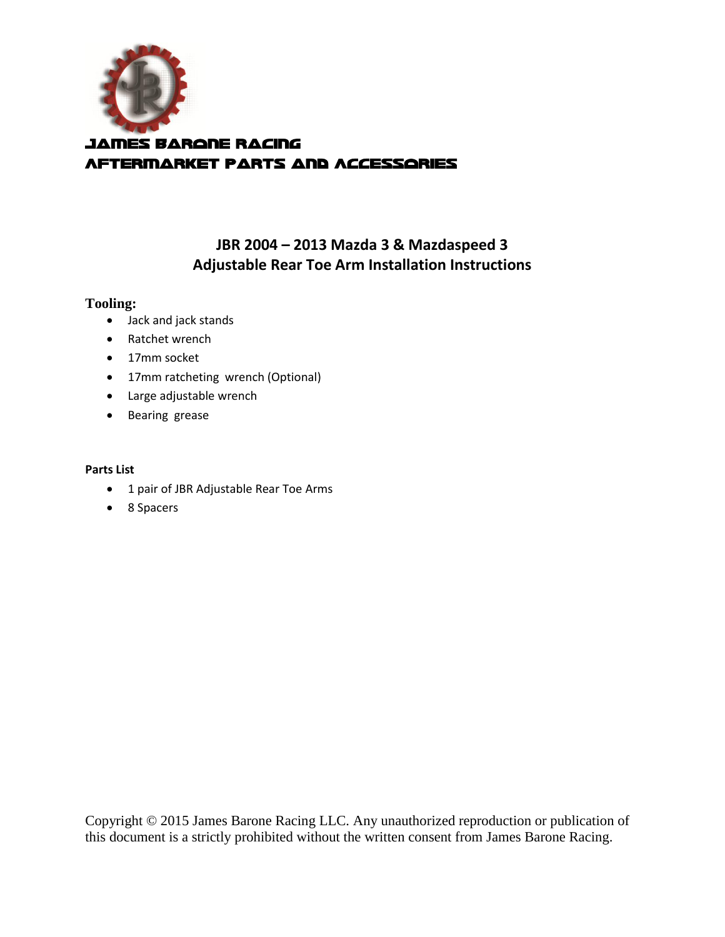

# **JBR 2004 – 2013 Mazda 3 & Mazdaspeed 3 Adjustable Rear Toe Arm Installation Instructions**

## **Tooling:**

- Jack and jack stands
- Ratchet wrench
- 17mm socket
- 17mm ratcheting wrench (Optional)
- Large adjustable wrench
- Bearing grease

#### **Parts List**

- 1 pair of JBR Adjustable Rear Toe Arms
- 8 Spacers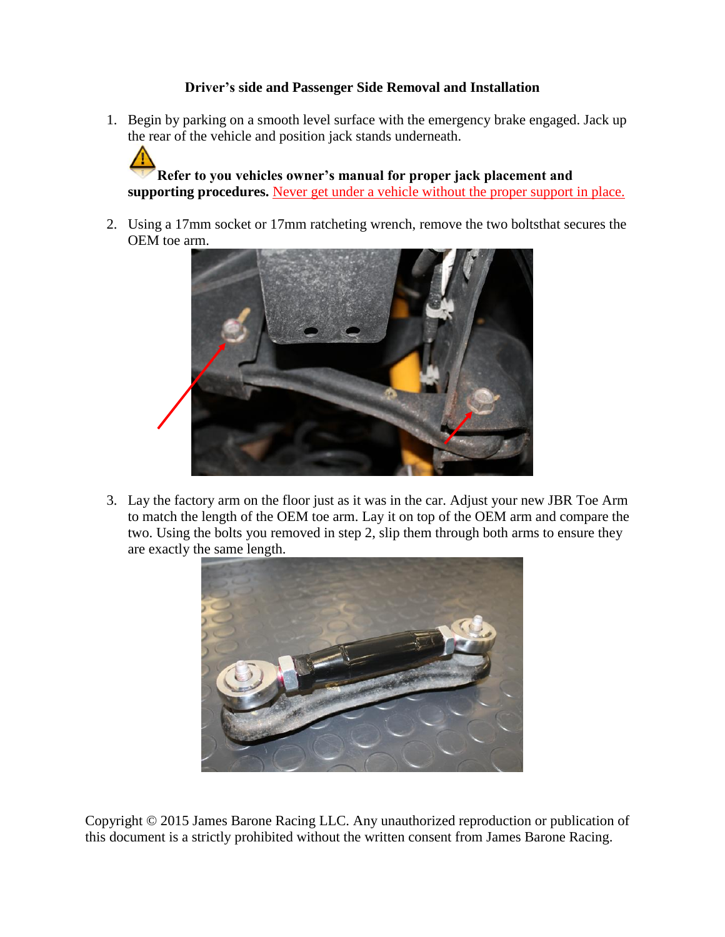# **Driver's side and Passenger Side Removal and Installation**

1. Begin by parking on a smooth level surface with the emergency brake engaged. Jack up the rear of the vehicle and position jack stands underneath.

**Refer to you vehicles owner's manual for proper jack placement and supporting procedures.** Never get under a vehicle without the proper support in place.

2. Using a 17mm socket or 17mm ratcheting wrench, remove the two boltsthat secures the OEM toe arm.



3. Lay the factory arm on the floor just as it was in the car. Adjust your new JBR Toe Arm to match the length of the OEM toe arm. Lay it on top of the OEM arm and compare the two. Using the bolts you removed in step 2, slip them through both arms to ensure they are exactly the same length.

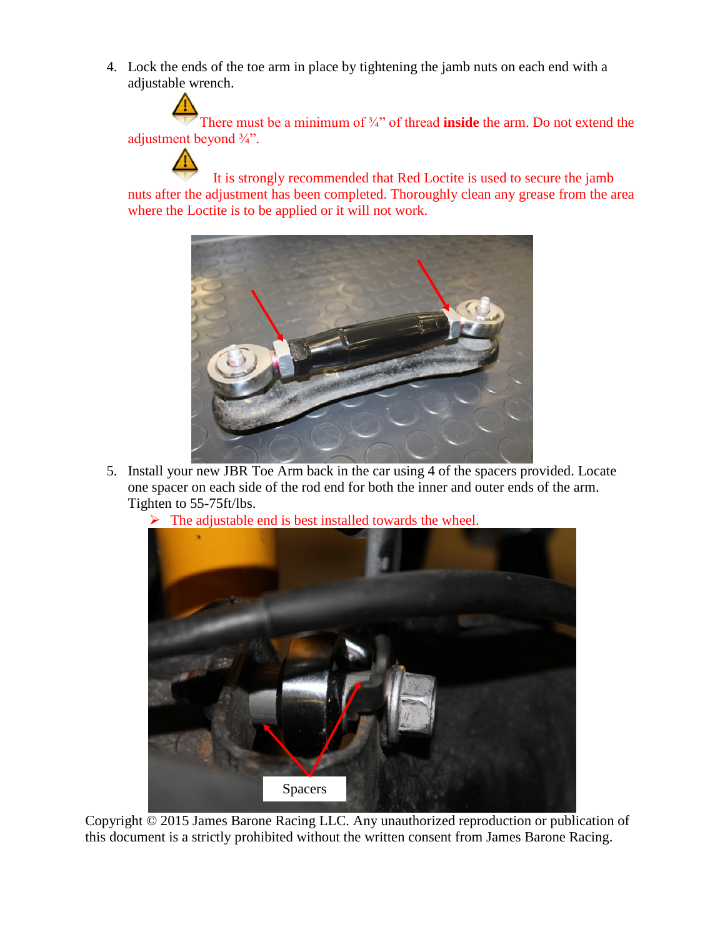4. Lock the ends of the toe arm in place by tightening the jamb nuts on each end with a adjustable wrench.

There must be a minimum of <sup>3</sup>/4<sup>2</sup> of thread **inside** the arm. Do not extend the adjustment beyond  $\frac{3}{4}$ ".

It is strongly recommended that Red Loctite is used to secure the jamb nuts after the adjustment has been completed. Thoroughly clean any grease from the area where the Loctite is to be applied or it will not work.



- 5. Install your new JBR Toe Arm back in the car using 4 of the spacers provided. Locate one spacer on each side of the rod end for both the inner and outer ends of the arm. Tighten to 55-75ft/lbs.
	- $\triangleright$  The adjustable end is best installed towards the wheel.

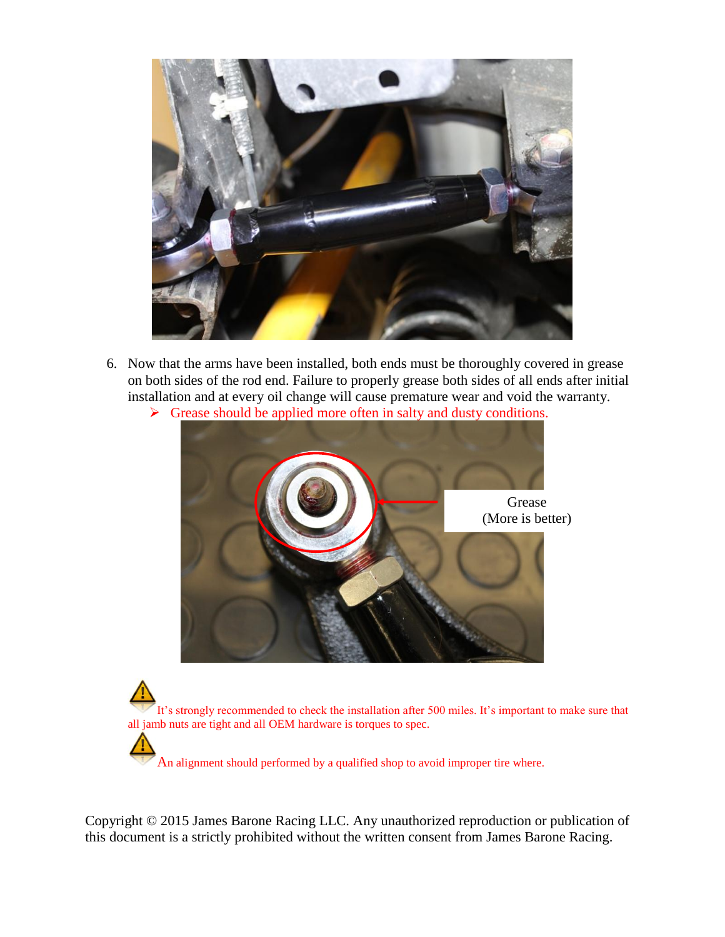

- 6. Now that the arms have been installed, both ends must be thoroughly covered in grease on both sides of the rod end. Failure to properly grease both sides of all ends after initial installation and at every oil change will cause premature wear and void the warranty.
	- $\triangleright$  Grease should be applied more often in salty and dusty conditions.



It's strongly recommended to check the installation after 500 miles. It's important to make sure that all jamb nuts are tight and all OEM hardware is torques to spec.

An alignment should performed by a qualified shop to avoid improper tire where.